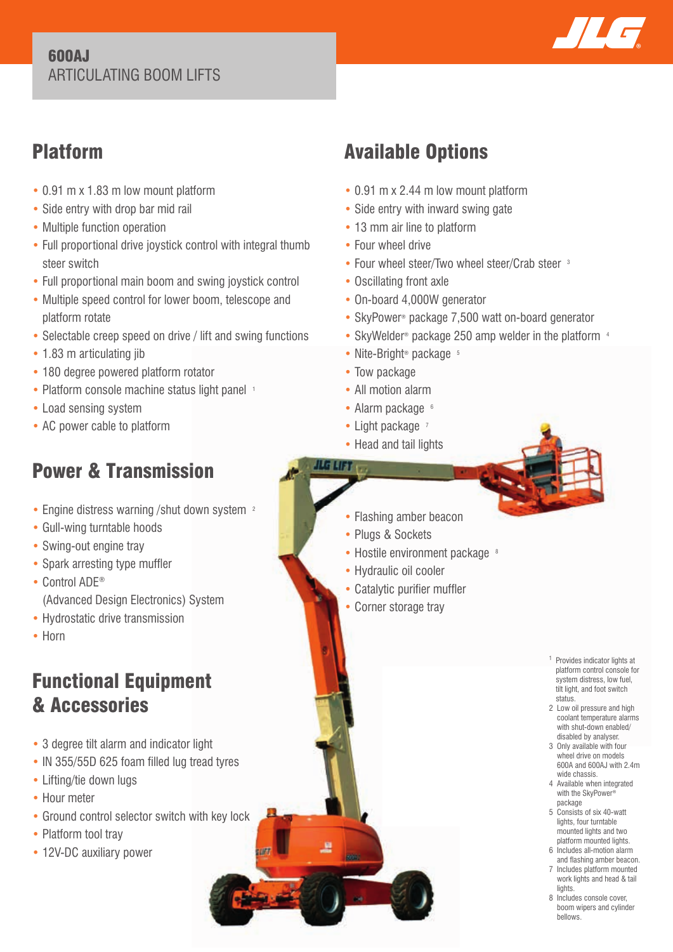#### 600AJ ARTICULATING BOOM LIFTS



### Platform

- 0.91 m x 1.83 m low mount platform
- Side entry with drop bar mid rail
- Multiple function operation
- Full proportional drive joystick control with integral thumb steer switch
- Full proportional main boom and swing joystick control
- Multiple speed control for lower boom, telescope and platform rotate
- Selectable creep speed on drive / lift and swing functions
- 1.83 m articulating jib
- 180 degree powered platform rotator
- Platform console machine status light panel 1
- Load sensing system
- AC power cable to platform

## Power & Transmission

- Engine distress warning /shut down system <sup>2</sup>
- Gull-wing turntable hoods
- Swing-out engine tray
- Spark arresting type muffler
- Control ADE® (Advanced Design Electronics) System
- Hydrostatic drive transmission
- Horn

## Functional Equipment & Accessories

- 3 degree tilt alarm and indicator light
- IN 355/55D 625 foam filled lug tread tyres
- Lifting/tie down lugs
- Hour meter
- Ground control selector switch with key lock
- Platform tool tray
- 12V-DC auxiliary power

# Available Options

- 0.91 m x 2.44 m low mount platform
- Side entry with inward swing gate
- 13 mm air line to platform
- Four wheel drive
- Four wheel steer/Two wheel steer/Crab steer <sup>3</sup>
- Oscillating front axle
- On-board 4,000W generator
- SkyPower® package 7,500 watt on-board generator
- SkyWelder® package 250 amp welder in the platform 4
- Nite-Bright<sup>®</sup> package <sup>5</sup>
- Tow package
- All motion alarm
- Alarm package 6
- $\bullet$  Light package  $7$
- Head and tail lights
- LG LIFT
	- Flashing amber beacon
	- Plugs & Sockets
	- Hostile environment package 8
	- Hydraulic oil cooler
	- Catalytic purifier muffler
	- Corner storage tray

- 1 Provides indicator lights at platform control console for system distress, low fuel, tilt light, and foot switch status.
- 2 Low oil pressure and high coolant temperature alarms with shut-down enabled/ disabled by analyser.
- 3 Only available with four wheel drive on models 600A and 600AJ with 2.4m wide chassis.
- 4 Available when integrated with the SkyPower®
- package 5 Consists of six 40-watt lights, four turntable mounted lights and two platform mounted lights.
- 6 Includes all-motion alarm and flashing amber beacon.
- 7 Includes platform mounted work lights and head & tail lights.
- 8 Includes console cover. boom wipers and cylinder bellows.